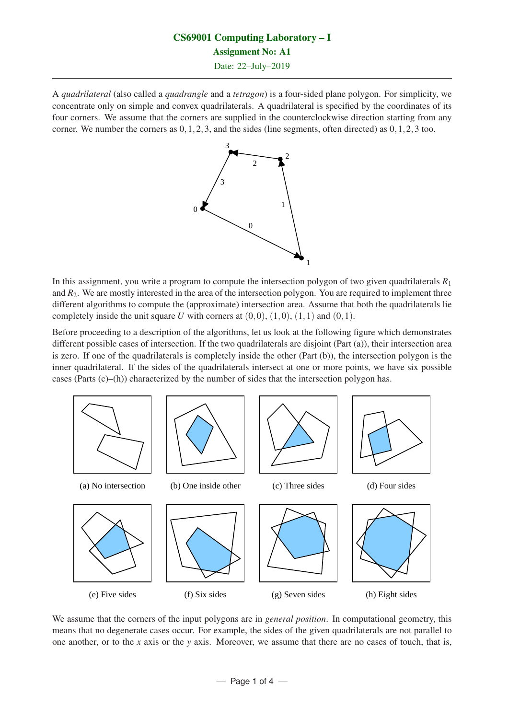# CS69001 Computing Laboratory – I Assignment No: A1

Date: 22–July–2019

A *quadrilateral* (also called a *quadrangle* and a *tetragon*) is a four-sided plane polygon. For simplicity, we concentrate only on simple and convex quadrilaterals. A quadrilateral is specified by the coordinates of its four corners. We assume that the corners are supplied in the counterclockwise direction starting from any corner. We number the corners as  $0, 1, 2, 3$ , and the sides (line segments, often directed) as  $0, 1, 2, 3$  too.



In this assignment, you write a program to compute the intersection polygon of two given quadrilaterals *R*<sup>1</sup> and  $R_2$ . We are mostly interested in the area of the intersection polygon. You are required to implement three different algorithms to compute the (approximate) intersection area. Assume that both the quadrilaterals lie completely inside the unit square U with corners at  $(0,0)$ ,  $(1,0)$ ,  $(1,1)$  and  $(0,1)$ .

Before proceeding to a description of the algorithms, let us look at the following figure which demonstrates different possible cases of intersection. If the two quadrilaterals are disjoint (Part (a)), their intersection area is zero. If one of the quadrilaterals is completely inside the other (Part (b)), the intersection polygon is the inner quadrilateral. If the sides of the quadrilaterals intersect at one or more points, we have six possible cases (Parts  $(c)$ –(h)) characterized by the number of sides that the intersection polygon has.



We assume that the corners of the input polygons are in *general position*. In computational geometry, this means that no degenerate cases occur. For example, the sides of the given quadrilaterals are not parallel to one another, or to the *x* axis or the *y* axis. Moreover, we assume that there are no cases of touch, that is,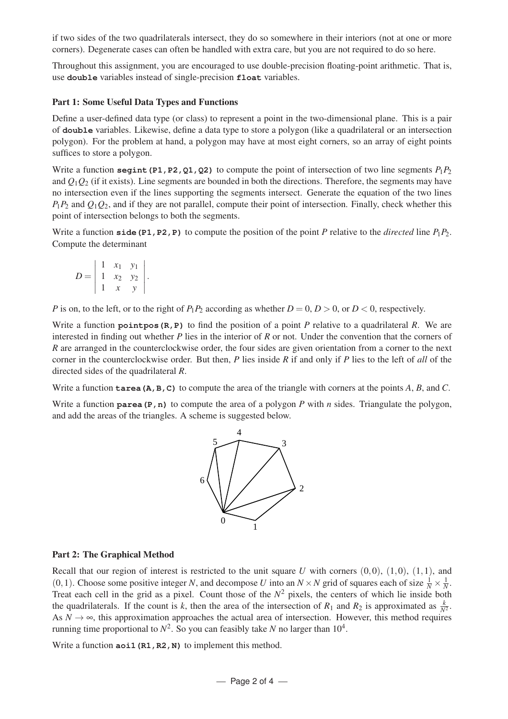if two sides of the two quadrilaterals intersect, they do so somewhere in their interiors (not at one or more corners). Degenerate cases can often be handled with extra care, but you are not required to do so here.

Throughout this assignment, you are encouraged to use double-precision floating-point arithmetic. That is, use **double** variables instead of single-precision **float** variables.

#### Part 1: Some Useful Data Types and Functions

Define a user-defined data type (or class) to represent a point in the two-dimensional plane. This is a pair of **double** variables. Likewise, define a data type to store a polygon (like a quadrilateral or an intersection polygon). For the problem at hand, a polygon may have at most eight corners, so an array of eight points suffices to store a polygon.

Write a function **segint** (P1, P2, Q1, Q2) to compute the point of intersection of two line segments  $P_1P_2$ and  $Q_1Q_2$  (if it exists). Line segments are bounded in both the directions. Therefore, the segments may have no intersection even if the lines supporting the segments intersect. Generate the equation of the two lines  $P_1P_2$  and  $Q_1Q_2$ , and if they are not parallel, compute their point of intersection. Finally, check whether this point of intersection belongs to both the segments.

Write a function **side (P1, P2, P)** to compute the position of the point *P* relative to the *directed* line  $P_1P_2$ . Compute the determinant

$$
D = \left| \begin{array}{ccc} 1 & x_1 & y_1 \\ 1 & x_2 & y_2 \\ 1 & x & y \end{array} \right|.
$$

*P* is on, to the left, or to the right of  $P_1P_2$  according as whether  $D = 0, D > 0$ , or  $D < 0$ , respectively.

Write a function **pointpos(R,P)** to find the position of a point *P* relative to a quadrilateral *R*. We are interested in finding out whether *P* lies in the interior of *R* or not. Under the convention that the corners of *R* are arranged in the counterclockwise order, the four sides are given orientation from a corner to the next corner in the counterclockwise order. But then, *P* lies inside *R* if and only if *P* lies to the left of *all* of the directed sides of the quadrilateral *R*.

Write a function **tarea(A,B,C)** to compute the area of the triangle with corners at the points A, B, and C.

Write a function **parea** (P, n) to compute the area of a polygon *P* with *n* sides. Triangulate the polygon, and add the areas of the triangles. A scheme is suggested below.



#### Part 2: The Graphical Method

Recall that our region of interest is restricted to the unit square  $U$  with corners  $(0,0)$ ,  $(1,0)$ ,  $(1,1)$ , and  $(0,1)$ . Choose some positive integer *N*, and decompose *U* into an  $N \times N$  grid of squares each of size  $\frac{1}{N} \times \frac{1}{N}$ . Treat each cell in the grid as a pixel. Count those of the  $N^2$  pixels, the centers of which lie inside both the quadrilaterals. If the count is *k*, then the area of the intersection of  $R_1$  and  $R_2$  is approximated as  $\frac{k}{N^2}$ . As  $N \to \infty$ , this approximation approaches the actual area of intersection. However, this method requires running time proportional to  $N^2$ . So you can feasibly take *N* no larger than  $10^4$ .

Write a function **aoi1** (R1, R2, N) to implement this method.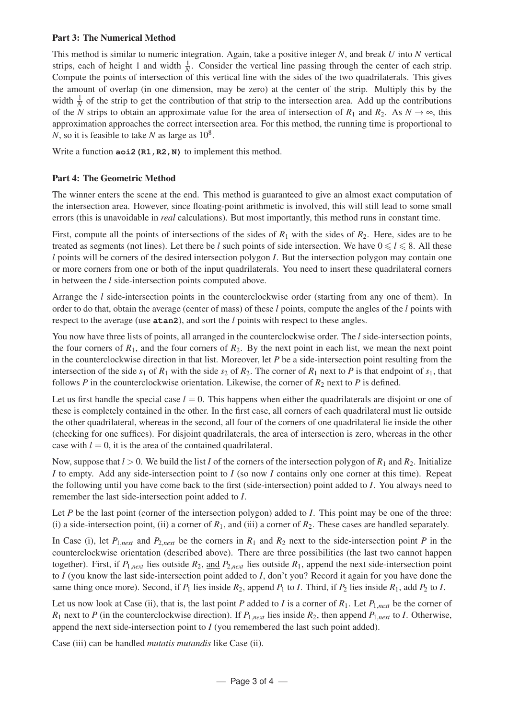#### Part 3: The Numerical Method

This method is similar to numeric integration. Again, take a positive integer *N*, and break *U* into *N* vertical strips, each of height 1 and width  $\frac{1}{N}$ . Consider the vertical line passing through the center of each strip. Compute the points of intersection of this vertical line with the sides of the two quadrilaterals. This gives the amount of overlap (in one dimension, may be zero) at the center of the strip. Multiply this by the width  $\frac{1}{N}$  of the strip to get the contribution of that strip to the intersection area. Add up the contributions of the *N* strips to obtain an approximate value for the area of intersection of  $R_1$  and  $R_2$ . As  $N \to \infty$ , this approximation approaches the correct intersection area. For this method, the running time is proportional to *N*, so it is feasible to take *N* as large as  $10^8$ .

Write a function **aoi2** (R1, R2, N) to implement this method.

### Part 4: The Geometric Method

The winner enters the scene at the end. This method is guaranteed to give an almost exact computation of the intersection area. However, since floating-point arithmetic is involved, this will still lead to some small errors (this is unavoidable in *real* calculations). But most importantly, this method runs in constant time.

First, compute all the points of intersections of the sides of  $R_1$  with the sides of  $R_2$ . Here, sides are to be treated as segments (not lines). Let there be *l* such points of side intersection. We have  $0 \le l \le 8$ . All these *l* points will be corners of the desired intersection polygon *I*. But the intersection polygon may contain one or more corners from one or both of the input quadrilaterals. You need to insert these quadrilateral corners in between the *l* side-intersection points computed above.

Arrange the *l* side-intersection points in the counterclockwise order (starting from any one of them). In order to do that, obtain the average (center of mass) of these *l* points, compute the angles of the *l* points with respect to the average (use **atan2**), and sort the *l* points with respect to these angles.

You now have three lists of points, all arranged in the counterclockwise order. The *l* side-intersection points, the four corners of  $R_1$ , and the four corners of  $R_2$ . By the next point in each list, we mean the next point in the counterclockwise direction in that list. Moreover, let *P* be a side-intersection point resulting from the intersection of the side  $s_1$  of  $R_1$  with the side  $s_2$  of  $R_2$ . The corner of  $R_1$  next to P is that endpoint of  $s_1$ , that follows *P* in the counterclockwise orientation. Likewise, the corner of  $R_2$  next to *P* is defined.

Let us first handle the special case  $l = 0$ . This happens when either the quadrilaterals are disjoint or one of these is completely contained in the other. In the first case, all corners of each quadrilateral must lie outside the other quadrilateral, whereas in the second, all four of the corners of one quadrilateral lie inside the other (checking for one suffices). For disjoint quadrilaterals, the area of intersection is zero, whereas in the other case with  $l = 0$ , it is the area of the contained quadrilateral.

Now, suppose that  $l > 0$ . We build the list *I* of the corners of the intersection polygon of  $R_1$  and  $R_2$ . Initialize *I* to empty. Add any side-intersection point to *I* (so now *I* contains only one corner at this time). Repeat the following until you have come back to the first (side-intersection) point added to *I*. You always need to remember the last side-intersection point added to *I*.

Let *P* be the last point (corner of the intersection polygon) added to *I*. This point may be one of the three: (i) a side-intersection point, (ii) a corner of  $R_1$ , and (iii) a corner of  $R_2$ . These cases are handled separately.

In Case (i), let  $P_{1,next}$  and  $P_{2,next}$  be the corners in  $R_1$  and  $R_2$  next to the side-intersection point P in the counterclockwise orientation (described above). There are three possibilities (the last two cannot happen together). First, if  $P_{1,next}$  lies outside  $R_2$ , and  $P_{2,next}$  lies outside  $R_1$ , append the next side-intersection point to *I* (you know the last side-intersection point added to *I*, don't you? Record it again for you have done the same thing once more). Second, if  $P_1$  lies inside  $R_2$ , append  $P_1$  to *I*. Third, if  $P_2$  lies inside  $R_1$ , add  $P_2$  to *I*.

Let us now look at Case (ii), that is, the last point *P* added to *I* is a corner of  $R_1$ . Let  $P_{1,next}$  be the corner of  $R_1$  next to *P* (in the counterclockwise direction). If  $P_{1,next}$  lies inside  $R_2$ , then append  $P_{1,next}$  to *I*. Otherwise, append the next side-intersection point to  $I$  (you remembered the last such point added).

Case (iii) can be handled *mutatis mutandis* like Case (ii).